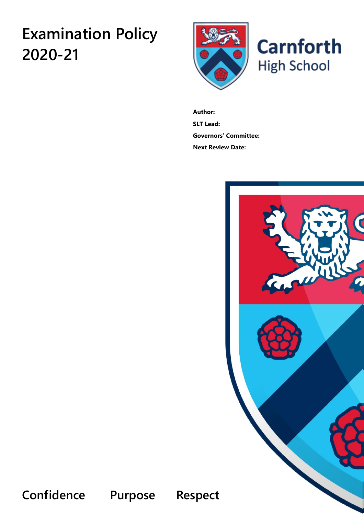# **Examination Policy 2020-21**



**Author: SLT Lead: Governors' Committee: Next Review Date:**



**Confidence Purpose Respect**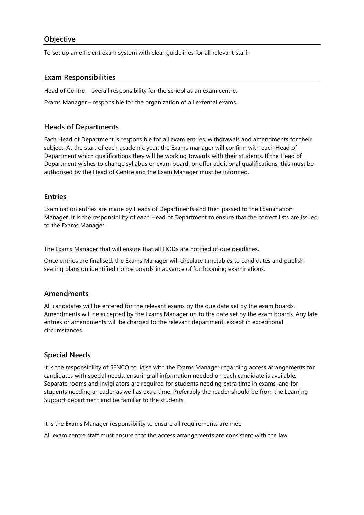## **Objective**

To set up an efficient exam system with clear guidelines for all relevant staff.

#### **Exam Responsibilities**

Head of Centre – overall responsibility for the school as an exam centre.

Exams Manager – responsible for the organization of all external exams.

#### **Heads of Departments**

Each Head of Department is responsible for all exam entries, withdrawals and amendments for their subject. At the start of each academic year, the Exams manager will confirm with each Head of Department which qualifications they will be working towards with their students. If the Head of Department wishes to change syllabus or exam board, or offer additional qualifications, this must be authorised by the Head of Centre and the Exam Manager must be informed.

#### **Entries**

Examination entries are made by Heads of Departments and then passed to the Examination Manager. It is the responsibility of each Head of Department to ensure that the correct lists are issued to the Exams Manager.

The Exams Manager that will ensure that all HODs are notified of due deadlines.

Once entries are finalised, the Exams Manager will circulate timetables to candidates and publish seating plans on identified notice boards in advance of forthcoming examinations.

#### **Amendments**

All candidates will be entered for the relevant exams by the due date set by the exam boards. Amendments will be accepted by the Exams Manager up to the date set by the exam boards. Any late entries or amendments will be charged to the relevant department, except in exceptional circumstances.

#### **Special Needs**

It is the responsibility of SENCO to liaise with the Exams Manager regarding access arrangements for candidates with special needs, ensuring all information needed on each candidate is available. Separate rooms and invigilators are required for students needing extra time in exams, and for students needing a reader as well as extra time. Preferably the reader should be from the Learning Support department and be familiar to the students.

It is the Exams Manager responsibility to ensure all requirements are met.

All exam centre staff must ensure that the access arrangements are consistent with the law.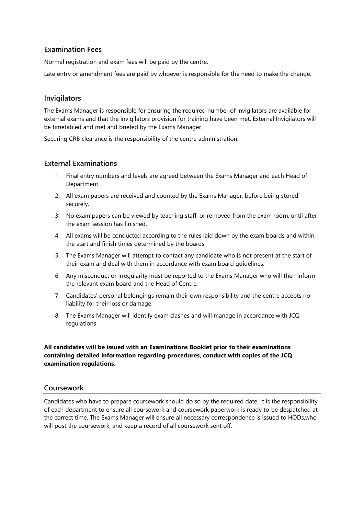# **Examination Fees**

Normal registration and exam fees will be paid by the centre.

Late entry or amendment fees are paid by whoever is responsible for the need to make the change.

## **Invigilators**

The Exams Manager is responsible for ensuring the required number of invigilators are available for external exams and that the invigilators provision for training have been met. External Invigilators will be timetabled and met and briefed by the Exams Manager.

Securing CRB clearance is the responsibility of the centre administration.

# **External Examinations**

- 1. Final entry numbers and levels are agreed between the Exams Manager and each Head of Department.
- 2. All exam papers are received and counted by the Exams Manager, before being stored securely.
- 3. No exam papers can be viewed by teaching staff, or removed from the exam room, until after the exam session has finished.
- 4. All exams will be conducted according to the rules laid down by the exam boards and within the start and finish times determined by the boards.
- 5. The Exams Manager will attempt to contact any candidate who is not present at the start of their exam and deal with them in accordance with exam board guidelines.
- 6. Any misconduct or irregularity must be reported to the Exams Manager who will then inform the relevant exam board and the Head of Centre.
- 7. Candidates' personal belongings remain their own responsibility and the centre accepts no liability for their loss or damage.
- 8. The Exams Manager will identify exam clashes and will manage in accordance with JCQ regulations

#### **All candidates will be issued with an Examinations Booklet prior to their examinations containing detailed information regarding procedures, conduct with copies of the JCQ examination regulations.**

# **Coursework**

Candidates who have to prepare coursework should do so by the required date. It is the responsibility of each department to ensure all coursework and coursework paperwork is ready to be despatched at the correct time. The Exams Manager will ensure all necessary correspondence is issued to HODs,who will post the coursework, and keep a record of all coursework sent off.